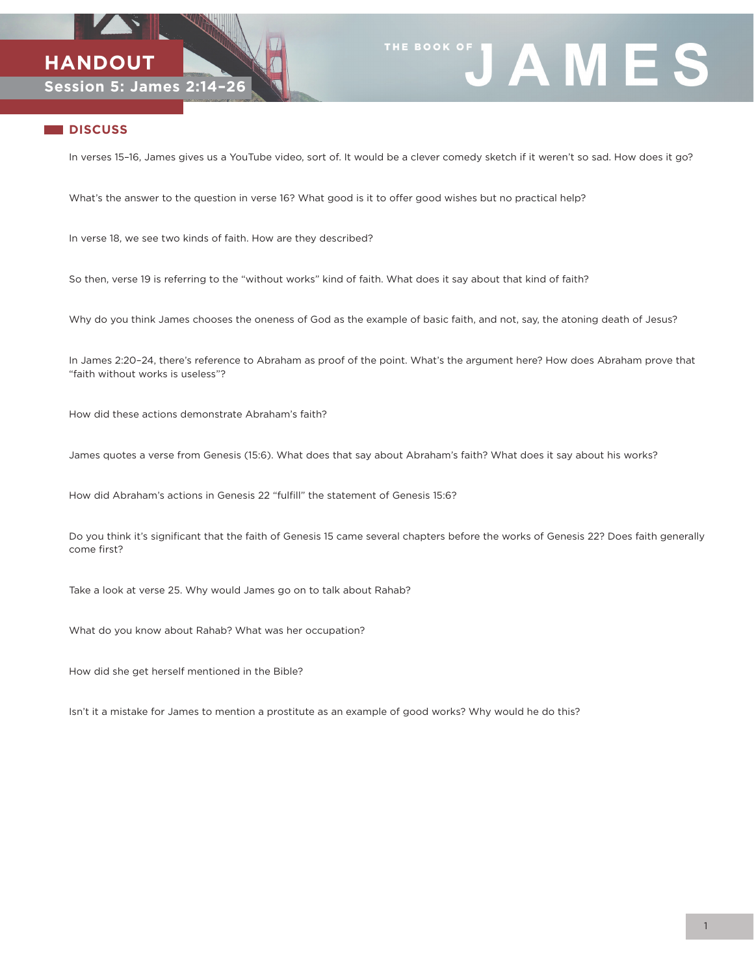



## **DISCUSS**

In verses 15–16, James gives us a YouTube video, sort of. It would be a clever comedy sketch if it weren't so sad. How does it go?

What's the answer to the question in verse 16? What good is it to offer good wishes but no practical help?

In verse 18, we see two kinds of faith. How are they described?

So then, verse 19 is referring to the "without works" kind of faith. What does it say about that kind of faith?

Why do you think James chooses the oneness of God as the example of basic faith, and not, say, the atoning death of Jesus?

In James 2:20–24, there's reference to Abraham as proof of the point. What's the argument here? How does Abraham prove that "faith without works is useless"?

How did these actions demonstrate Abraham's faith?

James quotes a verse from Genesis (15:6). What does that say about Abraham's faith? What does it say about his works?

How did Abraham's actions in Genesis 22 "fulfill" the statement of Genesis 15:6?

Do you think it's significant that the faith of Genesis 15 came several chapters before the works of Genesis 22? Does faith generally come first?

Take a look at verse 25. Why would James go on to talk about Rahab?

What do you know about Rahab? What was her occupation?

How did she get herself mentioned in the Bible?

Isn't it a mistake for James to mention a prostitute as an example of good works? Why would he do this?